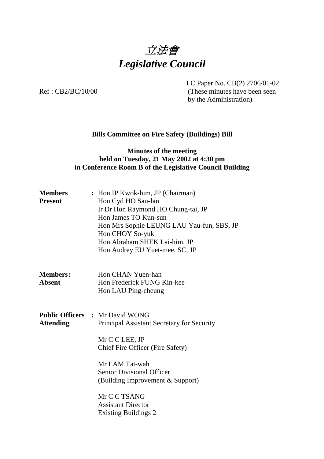

LC Paper No. CB(2) 2706/01-02 Ref : CB2/BC/10/00 (These minutes have been seen by the Administration)

# **Bills Committee on Fire Safety (Buildings) Bill**

### **Minutes of the meeting held on Tuesday, 21 May 2002 at 4:30 pm in Conference Room B of the Legislative Council Building**

| <b>Members</b><br><b>Present</b> | : Hon IP Kwok-him, JP (Chairman)<br>Hon Cyd HO Sau-lan<br>Ir Dr Hon Raymond HO Chung-tai, JP<br>Hon James TO Kun-sun<br>Hon Mrs Sophie LEUNG LAU Yau-fun, SBS, JP<br>Hon CHOY So-yuk<br>Hon Abraham SHEK Lai-him, JP<br>Hon Audrey EU Yuet-mee, SC, JP                                                           |
|----------------------------------|------------------------------------------------------------------------------------------------------------------------------------------------------------------------------------------------------------------------------------------------------------------------------------------------------------------|
| <b>Members:</b><br><b>Absent</b> | Hon CHAN Yuen-han<br>Hon Frederick FUNG Kin-kee<br>Hon LAU Ping-cheung                                                                                                                                                                                                                                           |
| <b>Attending</b>                 | <b>Public Officers : Mr David WONG</b><br>Principal Assistant Secretary for Security<br>Mr C C LEE, JP<br>Chief Fire Officer (Fire Safety)<br>Mr LAM Tat-wah<br><b>Senior Divisional Officer</b><br>(Building Improvement & Support)<br>Mr C C TSANG<br><b>Assistant Director</b><br><b>Existing Buildings 2</b> |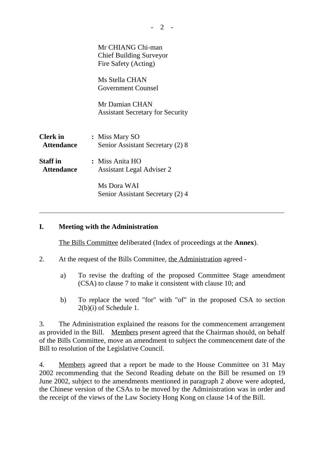|                                      | Mr CHIANG Chi-man<br><b>Chief Building Surveyor</b><br>Fire Safety (Acting) |
|--------------------------------------|-----------------------------------------------------------------------------|
|                                      | Ms Stella CHAN<br><b>Government Counsel</b>                                 |
|                                      | Mr Damian CHAN<br><b>Assistant Secretary for Security</b>                   |
| <b>Clerk</b> in<br><b>Attendance</b> | : Miss Mary SO<br>Senior Assistant Secretary (2) 8                          |
| <b>Staff</b> in<br><b>Attendance</b> | : Miss Anita HO<br>Assistant Legal Adviser 2                                |
|                                      | Ms Dora WAI<br>Senior Assistant Secretary (2) 4                             |

# **I. Meeting with the Administration**

ı

The Bills Committee deliberated (Index of proceedings at the **Annex**).

- 2. At the request of the Bills Committee, the Administration agreed
	- a) To revise the drafting of the proposed Committee Stage amendment (CSA) to clause 7 to make it consistent with clause 10; and
	- b) To replace the word "for" with "of" in the proposed CSA to section 2(b)(i) of Schedule 1.

3. The Administration explained the reasons for the commencement arrangement as provided in the Bill. Members present agreed that the Chairman should, on behalf of the Bills Committee, move an amendment to subject the commencement date of the Bill to resolution of the Legislative Council.

4. Members agreed that a report be made to the House Committee on 31 May 2002 recommending that the Second Reading debate on the Bill be resumed on 19 June 2002, subject to the amendments mentioned in paragraph 2 above were adopted, the Chinese version of the CSAs to be moved by the Administration was in order and the receipt of the views of the Law Society Hong Kong on clause 14 of the Bill.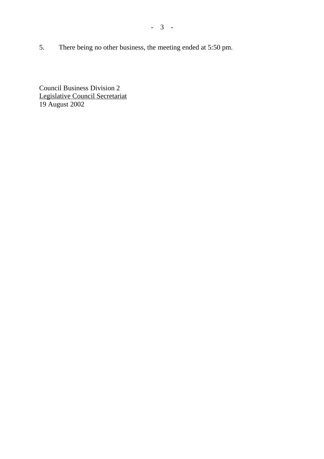5. There being no other business, the meeting ended at 5:50 pm.

Council Business Division 2 Legislative Council Secretariat 19 August 2002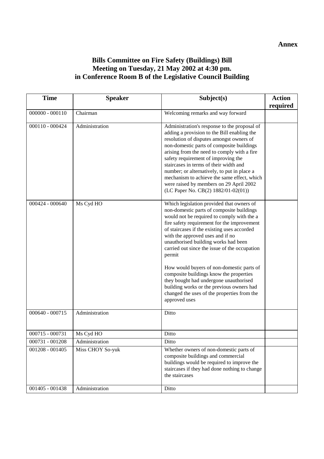#### **Annex**

# **Bills Committee on Fire Safety (Buildings) Bill Meeting on Tuesday, 21 May 2002 at 4:30 pm. in Conference Room B of the Legislative Council Building**

| <b>Time</b>       | <b>Speaker</b>   | Subject(s)                                                                                                                                                                                                                                                                                                                                                                                                                                                                                                                                                                                                               | <b>Action</b> |
|-------------------|------------------|--------------------------------------------------------------------------------------------------------------------------------------------------------------------------------------------------------------------------------------------------------------------------------------------------------------------------------------------------------------------------------------------------------------------------------------------------------------------------------------------------------------------------------------------------------------------------------------------------------------------------|---------------|
|                   |                  |                                                                                                                                                                                                                                                                                                                                                                                                                                                                                                                                                                                                                          | required      |
| $000000 - 000110$ | Chairman         | Welcoming remarks and way forward                                                                                                                                                                                                                                                                                                                                                                                                                                                                                                                                                                                        |               |
| $000110 - 000424$ | Administration   | Administration's response to the proposal of<br>adding a provision to the Bill enabling the<br>resolution of disputes amongst owners of<br>non-domestic parts of composite buildings<br>arising from the need to comply with a fire<br>safety requirement of improving the<br>staircases in terms of their width and<br>number; or alternatively, to put in place a<br>mechanism to achieve the same effect, which<br>were raised by members on 29 April 2002<br>(LC Paper No. CB(2) 1882/01-02(01))                                                                                                                     |               |
| $000424 - 000640$ | Ms Cyd HO        | Which legislation provided that owners of<br>non-domestic parts of composite buildings<br>would not be required to comply with the a<br>fire safety requirement for the improvement<br>of staircases if the existing uses accorded<br>with the approved uses and if no<br>unauthorised building works had been<br>carried out since the issue of the occupation<br>permit<br>How would buyers of non-domestic parts of<br>composite buildings know the properties<br>they bought had undergone unauthorised<br>building works or the previous owners had<br>changed the uses of the properties from the<br>approved uses |               |
| $000640 - 000715$ | Administration   | Ditto                                                                                                                                                                                                                                                                                                                                                                                                                                                                                                                                                                                                                    |               |
| $000715 - 000731$ | Ms Cyd HO        | Ditto                                                                                                                                                                                                                                                                                                                                                                                                                                                                                                                                                                                                                    |               |
| $000731 - 001208$ | Administration   | Ditto                                                                                                                                                                                                                                                                                                                                                                                                                                                                                                                                                                                                                    |               |
| $001208 - 001405$ | Miss CHOY So-yuk | Whether owners of non-domestic parts of<br>composite buildings and commercial<br>buildings would be required to improve the<br>staircases if they had done nothing to change<br>the staircases                                                                                                                                                                                                                                                                                                                                                                                                                           |               |
| $001405 - 001438$ | Administration   | Ditto                                                                                                                                                                                                                                                                                                                                                                                                                                                                                                                                                                                                                    |               |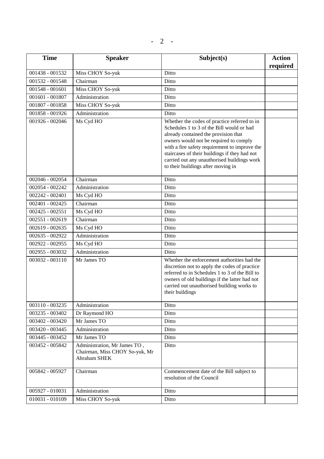| <b>Time</b>     | <b>Speaker</b>                                                                        | Subject(s)                                                                                                                                                                                                                                                                                                                                                         | <b>Action</b><br>required |
|-----------------|---------------------------------------------------------------------------------------|--------------------------------------------------------------------------------------------------------------------------------------------------------------------------------------------------------------------------------------------------------------------------------------------------------------------------------------------------------------------|---------------------------|
| 001438 - 001532 | Miss CHOY So-yuk                                                                      | Ditto                                                                                                                                                                                                                                                                                                                                                              |                           |
| 001532 - 001548 | Chairman                                                                              | Ditto                                                                                                                                                                                                                                                                                                                                                              |                           |
| 001548 - 001601 | Miss CHOY So-yuk                                                                      | Ditto                                                                                                                                                                                                                                                                                                                                                              |                           |
| 001601 - 001807 | Administration                                                                        | Ditto                                                                                                                                                                                                                                                                                                                                                              |                           |
| 001807 - 001858 | Miss CHOY So-yuk                                                                      | Ditto                                                                                                                                                                                                                                                                                                                                                              |                           |
| 001858 - 001926 | Administration                                                                        | Ditto                                                                                                                                                                                                                                                                                                                                                              |                           |
| 001926 - 002046 | Ms Cyd HO                                                                             | Whether the codes of practice referred to in<br>Schedules 1 to 3 of the Bill would or had<br>already contained the provision that<br>owners would not be required to comply<br>with a fire safety requirement to improve the<br>staircases of their buildings if they had not<br>carried out any unauthorised buildings work<br>to their buildings after moving in |                           |
| 002046 - 002054 | Chairman                                                                              | Ditto                                                                                                                                                                                                                                                                                                                                                              |                           |
| 002054 - 002242 | Administration                                                                        | Ditto                                                                                                                                                                                                                                                                                                                                                              |                           |
| 002242 - 002401 | Ms Cyd HO                                                                             | Ditto                                                                                                                                                                                                                                                                                                                                                              |                           |
| 002401 - 002425 | Chairman                                                                              | Ditto                                                                                                                                                                                                                                                                                                                                                              |                           |
| 002425 - 002551 | Ms Cyd HO                                                                             | Ditto                                                                                                                                                                                                                                                                                                                                                              |                           |
| 002551 - 002619 | Chairman                                                                              | Ditto                                                                                                                                                                                                                                                                                                                                                              |                           |
| 002619 - 002635 | Ms Cyd HO                                                                             | Ditto                                                                                                                                                                                                                                                                                                                                                              |                           |
| 002635 - 002922 | Administration                                                                        | Ditto                                                                                                                                                                                                                                                                                                                                                              |                           |
| 002922 - 002955 | Ms Cyd HO                                                                             | Ditto                                                                                                                                                                                                                                                                                                                                                              |                           |
| 002955 - 003032 | Administration                                                                        | Ditto                                                                                                                                                                                                                                                                                                                                                              |                           |
| 003032 - 003110 | Mr James TO                                                                           | Whether the enforcement authorities had the<br>discretion not to apply the codes of practice<br>referred to in Schedules 1 to 3 of the Bill to<br>owners of old buildings if the latter had not<br>carried out unauthorised building works to<br>their buildings                                                                                                   |                           |
| 003110 - 003235 | Administration                                                                        | Ditto                                                                                                                                                                                                                                                                                                                                                              |                           |
| 003235 - 003402 | Dr Raymond HO                                                                         | Ditto                                                                                                                                                                                                                                                                                                                                                              |                           |
| 003402 - 003420 | Mr James TO                                                                           | Ditto                                                                                                                                                                                                                                                                                                                                                              |                           |
| 003420 - 003445 | Administration                                                                        | Ditto                                                                                                                                                                                                                                                                                                                                                              |                           |
| 003445 - 003452 | Mr James TO                                                                           | Ditto                                                                                                                                                                                                                                                                                                                                                              |                           |
| 003452 - 005842 | Administration, Mr James TO,<br>Chairman, Miss CHOY So-yuk, Mr<br><b>Abraham SHEK</b> | Ditto                                                                                                                                                                                                                                                                                                                                                              |                           |
| 005842 - 005927 | Chairman                                                                              | Commencement date of the Bill subject to<br>resolution of the Council                                                                                                                                                                                                                                                                                              |                           |
| 005927 - 010031 | Administration                                                                        | Ditto                                                                                                                                                                                                                                                                                                                                                              |                           |
| 010031 - 010109 | Miss CHOY So-yuk                                                                      | Ditto                                                                                                                                                                                                                                                                                                                                                              |                           |